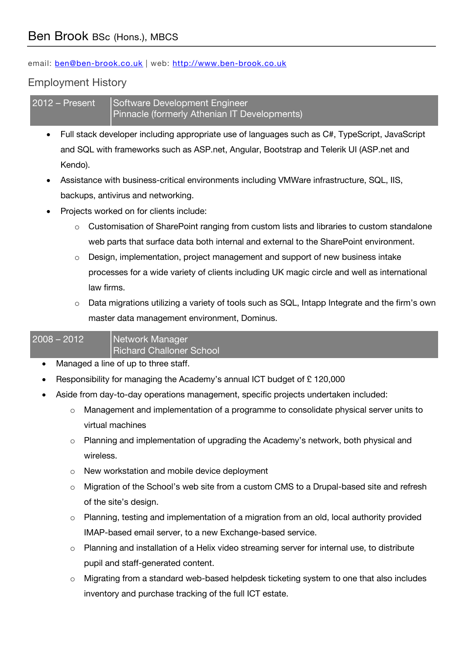email: ben@ben-brook.co.uk | web: http://www.ben-brook.co.uk

## Employment History

2012 – Present Software Development Engineer Pinnacle (formerly Athenian IT Developments)

- Full stack developer including appropriate use of languages such as C#, TypeScript, JavaScript and SQL with frameworks such as ASP.net, Angular, Bootstrap and Telerik UI (ASP.net and Kendo).
- Assistance with business-critical environments including VMWare infrastructure, SQL, IIS, backups, antivirus and networking.
- Projects worked on for clients include:
	- o Customisation of SharePoint ranging from custom lists and libraries to custom standalone web parts that surface data both internal and external to the SharePoint environment.
	- $\circ$  Design, implementation, project management and support of new business intake processes for a wide variety of clients including UK magic circle and well as international law firms.
	- o Data migrations utilizing a variety of tools such as SQL, Intapp Integrate and the firm's own master data management environment, Dominus.

## 2008 – 2012 Network Manager

Richard Challoner School

- Managed a line of up to three staff.
- Responsibility for managing the Academy's annual ICT budget of £ 120,000
- Aside from day-to-day operations management, specific projects undertaken included:
	- $\circ$  Management and implementation of a programme to consolidate physical server units to virtual machines
	- o Planning and implementation of upgrading the Academy's network, both physical and wireless.
	- o New workstation and mobile device deployment
	- $\circ$  Migration of the School's web site from a custom CMS to a Drupal-based site and refresh of the site's design.
	- $\circ$  Planning, testing and implementation of a migration from an old, local authority provided IMAP-based email server, to a new Exchange-based service.
	- $\circ$  Planning and installation of a Helix video streaming server for internal use, to distribute pupil and staff-generated content.
	- $\circ$  Migrating from a standard web-based helpdesk ticketing system to one that also includes inventory and purchase tracking of the full ICT estate.